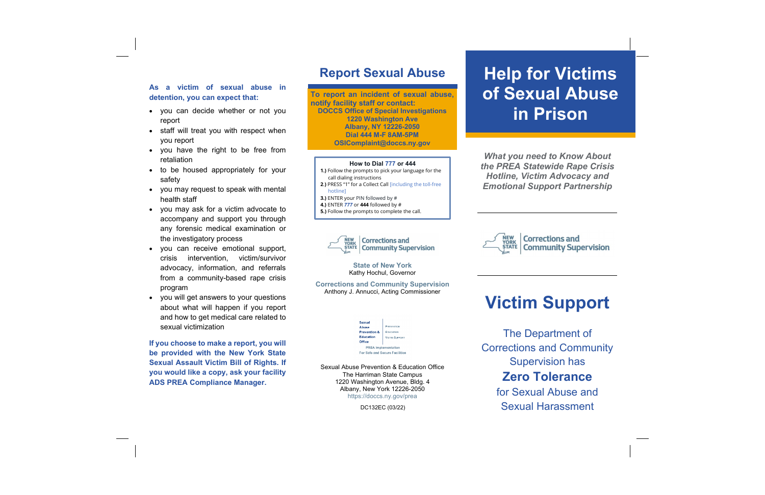# **As a victim of sexual abuse in detention, you can expect that:**

- you can decide whether or not you report
- staff will treat you with respect when you report
- you have the right to be free from retaliation
- to be housed appropriately for your safety
- you may request to speak with mental health staff
- you may ask for a victim advocate to accompany and support you through any forensic medical examination or the investigatory process
- you can receive emotional support, crisis intervention, victim/survivor advocacy, information, and referrals from a community-based rape crisis program
- you will get answers to your questions about what will happen if you report and how to get medical care related to sexual victimization

**If you choose to make a report, you will be provided with the New York State Sexual Assault Victim Bill of Rights. If you would like a copy, ask your facility ADS PREA Compliance Manager.**

# **Report Sexual Abuse**

**To report an incident of sexual abuse, notify facility staff or contact: DOCCS Office of Special Investigations 1220 Washington Ave Albany, NY 12226-2050 Dial 444 M-F 8AM-5PM OSIComplaint@doccs.ny.gov**

# **How to Dial 777 or 444**

- **1.)** Follow the prompts to pick your language for the call dialing instructions
- **2**.**)** PRESS "1" for a Collect Call [including the toll-free hotline]
- **3.)** ENTER your PIN followed by #
- **4.)** ENTER *777* or **444** followed by #
- **5.)** Follow the prompts to complete the call.



**State of New York** Kathy Hochul, Governor

**Corrections and Community Supervision** Anthony J. Annucci, Acting Commissioner

| Sexual                         |                       |
|--------------------------------|-----------------------|
| Abuse                          | <b>PREVENTION</b>     |
| <b>Prevention &amp;</b>        | <b>EDUCATION</b>      |
| <b>Education</b>               | <b>VICTIM SUPPORT</b> |
| Office                         |                       |
| <b>PREA Implementation</b>     |                       |
| For Safe and Secure Facilities |                       |

Sexual Abuse Prevention & Education Office The Harriman State Campus 1220 Washington Avenue, Bldg. 4 Albany, New York 12226-2050 https://doccs.ny.gov/prea

DC132EC (03/22)

# **Help for Victims of Sexual Abuse in Prison**

*What you need to Know About the PREA Statewide Rape Crisis Hotline, Victim Advocacy and Emotional Support Partnership* 



# **Victim Support**

The Department of Corrections and Community Supervision has **Zero Tolerance** for Sexual Abuse and

Sexual Harassment